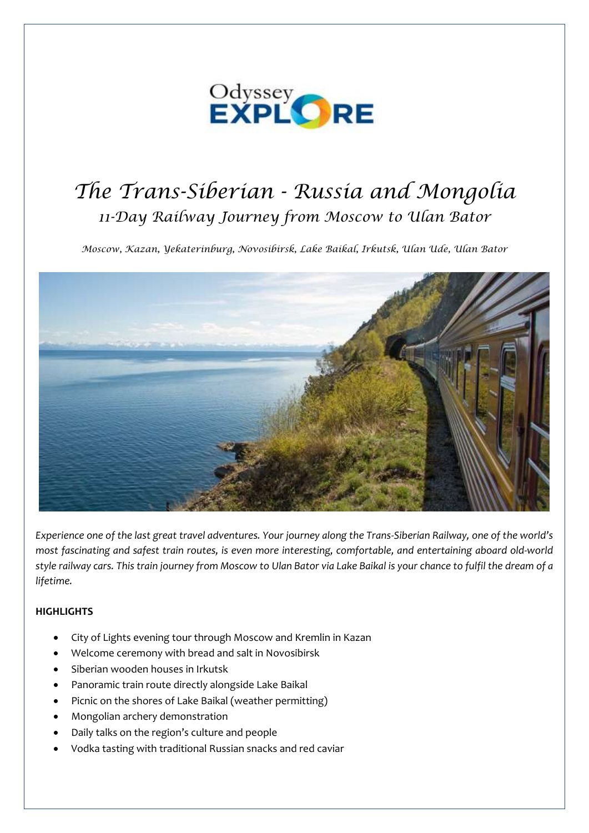

# *The Trans-Siberian - Russia and Mongolia 11-Day Railway Journey from Moscow to Ulan Bator*

*Moscow, Kazan, Yekaterinburg, Novosibirsk, Lake Baikal, Irkutsk, Ulan Ude, Ulan Bator*



*Experience one of the last great travel adventures. Your journey along the Trans-Siberian Railway, one of the world's most fascinating and safest train routes, is even more interesting, comfortable, and entertaining aboard old-world style railway cars. This train journey from Moscow to Ulan Bator via Lake Baikal is your chance to fulfil the dream of a lifetime.*

# **HIGHLIGHTS**

- City of Lights evening tour through Moscow and Kremlin in Kazan
- Welcome ceremony with bread and salt in Novosibirsk
- Siberian wooden houses in Irkutsk
- Panoramic train route directly alongside Lake Baikal
- Picnic on the shores of Lake Baikal (weather permitting)
- Mongolian archery demonstration
- Daily talks on the region's culture and people
- Vodka tasting with traditional Russian snacks and red caviar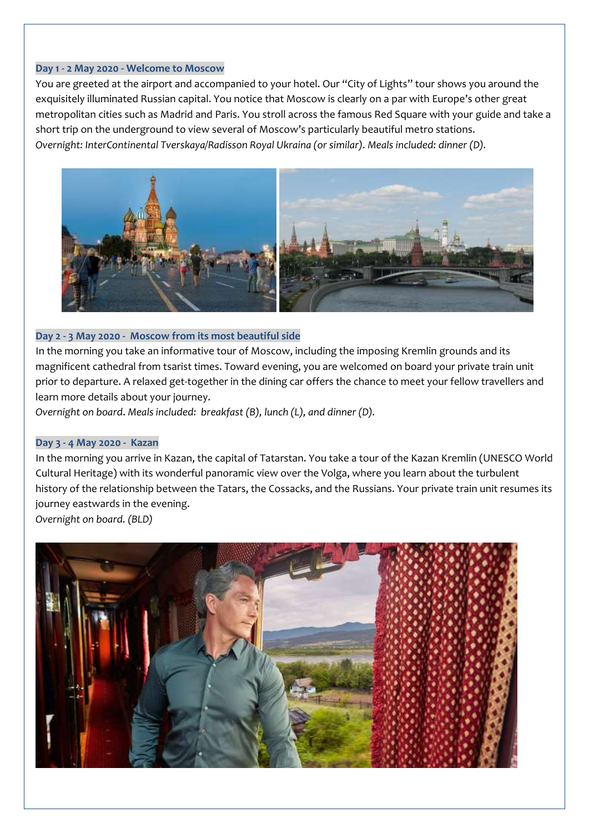## **Day 1 - 2 May 2020 - Welcome to Moscow**

You are greeted at the airport and accompanied to your hotel. Our "City of Lights" tour shows you around the exquisitely illuminated Russian capital. You notice that Moscow is clearly on a par with Europe's other great metropolitan cities such as Madrid and Paris. You stroll across the famous Red Square with your guide and take a short trip on the underground to view several of Moscow's particularly beautiful metro stations. *Overnight: InterContinental Tverskaya/Radisson Royal Ukraina (or similar). Meals included: dinner (D).*



# **Day 2 - 3 May 2020 - Moscow from its most beautiful side**

In the morning you take an informative tour of Moscow, including the imposing Kremlin grounds and its magnificent cathedral from tsarist times. Toward evening, you are welcomed on board your private train unit prior to departure. A relaxed get-together in the dining car offers the chance to meet your fellow travellers and learn more details about your journey.

*Overnight on board*. *Meals included: breakfast (B), lunch (L), and dinner (D).*

## **Day 3 - 4 May 2020 - Kazan**

In the morning you arrive in Kazan, the capital of Tatarstan. You take a tour of the Kazan Kremlin (UNESCO World Cultural Heritage) with its wonderful panoramic view over the Volga, where you learn about the turbulent history of the relationship between the Tatars, the Cossacks, and the Russians. Your private train unit resumes its journey eastwards in the evening.

*Overnight on board. (BLD)*

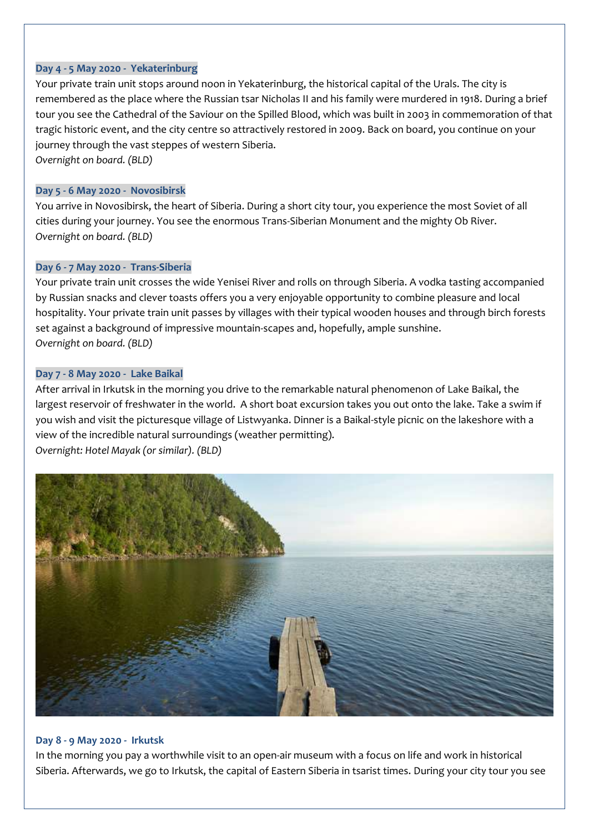## **Day 4 - 5 May 2020 - Yekaterinburg**

Your private train unit stops around noon in Yekaterinburg, the historical capital of the Urals. The city is remembered as the place where the Russian tsar Nicholas II and his family were murdered in 1918. During a brief tour you see the Cathedral of the Saviour on the Spilled Blood, which was built in 2003 in commemoration of that tragic historic event, and the city centre so attractively restored in 2009. Back on board, you continue on your journey through the vast steppes of western Siberia. *Overnight on board. (BLD)*

## **Day 5 - 6 May 2020 - Novosibirsk**

You arrive in Novosibirsk, the heart of Siberia. During a short city tour, you experience the most Soviet of all cities during your journey. You see the enormous Trans-Siberian Monument and the mighty Ob River. *Overnight on board. (BLD)*

# **Day 6 - 7 May 2020 - Trans-Siberia**

Your private train unit crosses the wide Yenisei River and rolls on through Siberia. A vodka tasting accompanied by Russian snacks and clever toasts offers you a very enjoyable opportunity to combine pleasure and local hospitality. Your private train unit passes by villages with their typical wooden houses and through birch forests set against a background of impressive mountain-scapes and, hopefully, ample sunshine. *Overnight on board. (BLD)*

## **Day 7 - 8 May 2020 - Lake Baikal**

After arrival in Irkutsk in the morning you drive to the remarkable natural phenomenon of Lake Baikal, the largest reservoir of freshwater in the world. A short boat excursion takes you out onto the lake. Take a swim if you wish and visit the picturesque village of Listwyanka. Dinner is a Baikal-style picnic on the lakeshore with a view of the incredible natural surroundings (weather permitting). *Overnight: Hotel Mayak (or similar). (BLD)*



## **Day 8 - 9 May 2020 - Irkutsk**

In the morning you pay a worthwhile visit to an open-air museum with a focus on life and work in historical Siberia. Afterwards, we go to Irkutsk, the capital of Eastern Siberia in tsarist times. During your city tour you see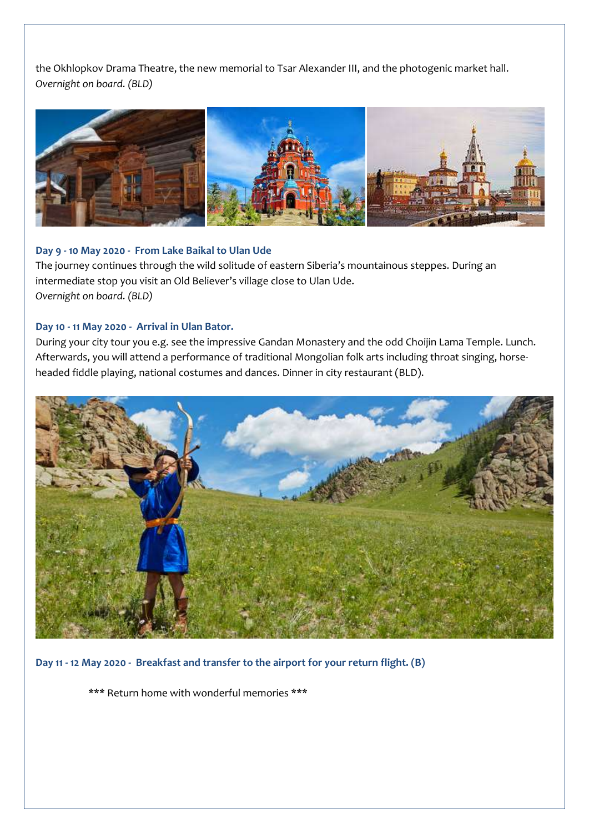the Okhlopkov Drama Theatre, the new memorial to Tsar Alexander III, and the photogenic market hall. *Overnight on board. (BLD)*



## **Day 9 - 10 May 2020 - From Lake Baikal to Ulan Ude**

The journey continues through the wild solitude of eastern Siberia's mountainous steppes. During an intermediate stop you visit an Old Believer's village close to Ulan Ude. *Overnight on board. (BLD)*

## **Day 10 - 11 May 2020 - Arrival in Ulan Bator.**

During your city tour you e.g. see the impressive Gandan Monastery and the odd Choijin Lama Temple. Lunch. Afterwards, you will attend a performance of traditional Mongolian folk arts including throat singing, horseheaded fiddle playing, national costumes and dances. Dinner in city restaurant (BLD).



**Day 11 - 12 May 2020 - Breakfast and transfer to the airport for your return flight. (B)**

\*\*\* Return home with wonderful memories \*\*\*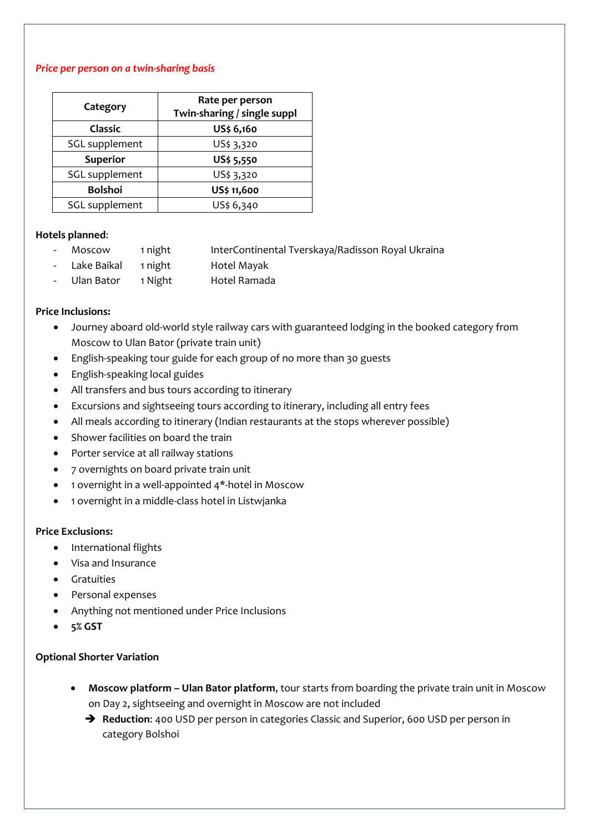## *Price per person on a twin-sharing basis*

| Category        | Rate per person<br>Twin-sharing / single suppl |
|-----------------|------------------------------------------------|
| <b>Classic</b>  | US\$ 6,160                                     |
| SGL supplement  | US\$ 3,320                                     |
| <b>Superior</b> | US\$ 5,550                                     |
| SGL supplement  | US\$ 3,320                                     |
| <b>Bolshoi</b>  | US\$ 11,600                                    |
| SGL supplement  | US\$ 6,340                                     |

## **Hotels planned**:

- Moscow 1 night InterContinental Tverskaya/Radisson Royal Ukraina
- Lake Baikal 1 night Hotel Mayak
- Ulan Bator 1 Night Hotel Ramada

## **Price Inclusions:**

- Journey aboard old-world style railway cars with guaranteed lodging in the booked category from Moscow to Ulan Bator (private train unit)
- English-speaking tour guide for each group of no more than 30 guests
- English-speaking local guides
- All transfers and bus tours according to itinerary
- Excursions and sightseeing tours according to itinerary, including all entry fees
- All meals according to itinerary (Indian restaurants at the stops wherever possible)
- Shower facilities on board the train
- Porter service at all railway stations
- 7 overnights on board private train unit
- 1 overnight in a well-appointed 4\*-hotel in Moscow
- 1 overnight in a middle-class hotel in Listwjanka

## **Price Exclusions:**

- International flights
- Visa and Insurance
- Gratuities
- Personal expenses
- Anything not mentioned under Price Inclusions
- **5% GST**

# **Optional Shorter Variation**

- **Moscow platform – Ulan Bator platform**, tour starts from boarding the private train unit in Moscow on Day 2, sightseeing and overnight in Moscow are not included
	- ➔ **Reduction**: 400 USD per person in categories Classic and Superior, 600 USD per person in category Bolshoi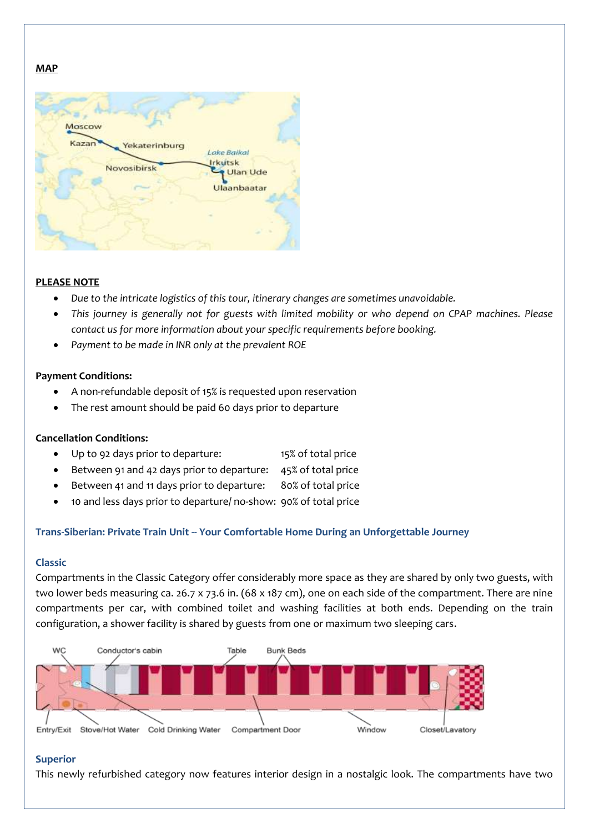# **MAP**



# **PLEASE NOTE**

- *Due to the intricate logistics of this tour, itinerary changes are sometimes unavoidable.*
- *This journey is generally not for guests with limited mobility or who depend on CPAP machines. Please contact us for more information about your specific requirements before booking.*
- *Payment to be made in INR only at the prevalent ROE*

## **Payment Conditions:**

- A non-refundable deposit of 15% is requested upon reservation
- The rest amount should be paid 60 days prior to departure

## **Cancellation Conditions:**

- Up to 92 days prior to departure: 15% of total price
- Between 91 and 42 days prior to departure: 45% of total price
- Between 41 and 11 days prior to departure: 80% of total price
- 10 and less days prior to departure/ no-show: 90% of total price

# **Trans-Siberian: Private Train Unit -- Your Comfortable Home During an Unforgettable Journey**

## **Classic**

Compartments in the Classic Category offer considerably more space as they are shared by only two guests, with two lower beds measuring ca. 26.7 x 73.6 in. (68 x 187 cm), one on each side of the compartment. There are nine compartments per car, with combined toilet and washing facilities at both ends. Depending on the train configuration, a shower facility is shared by guests from one or maximum two sleeping cars.



## **Superior**

This newly refurbished category now features interior design in a nostalgic look. The compartments have two